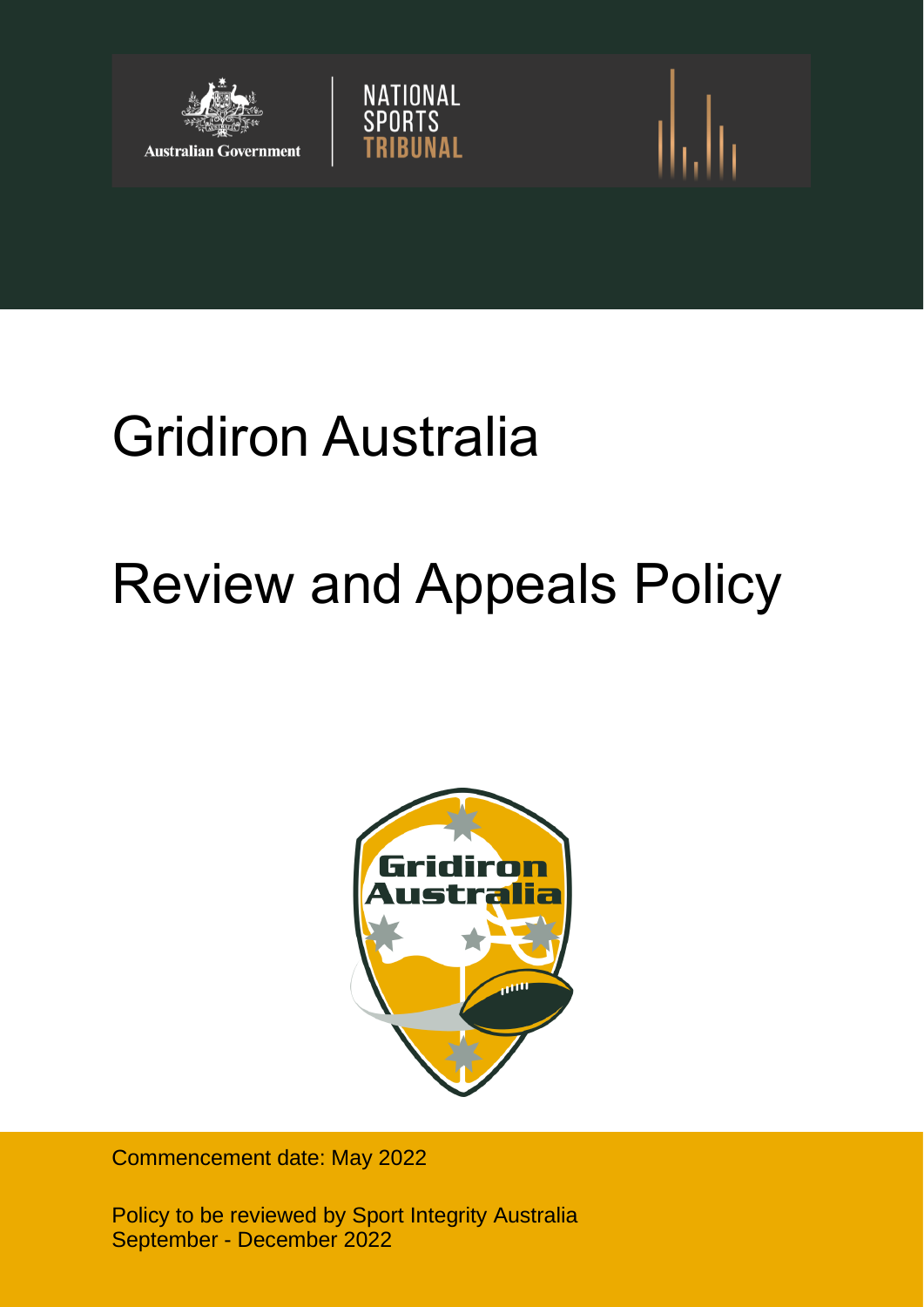



# Review and Appeals Policy

NATIONAL<br>SPORTS



Commencement date: May 2022

Policy to be reviewed by Sport Integrity Australia September - December 2022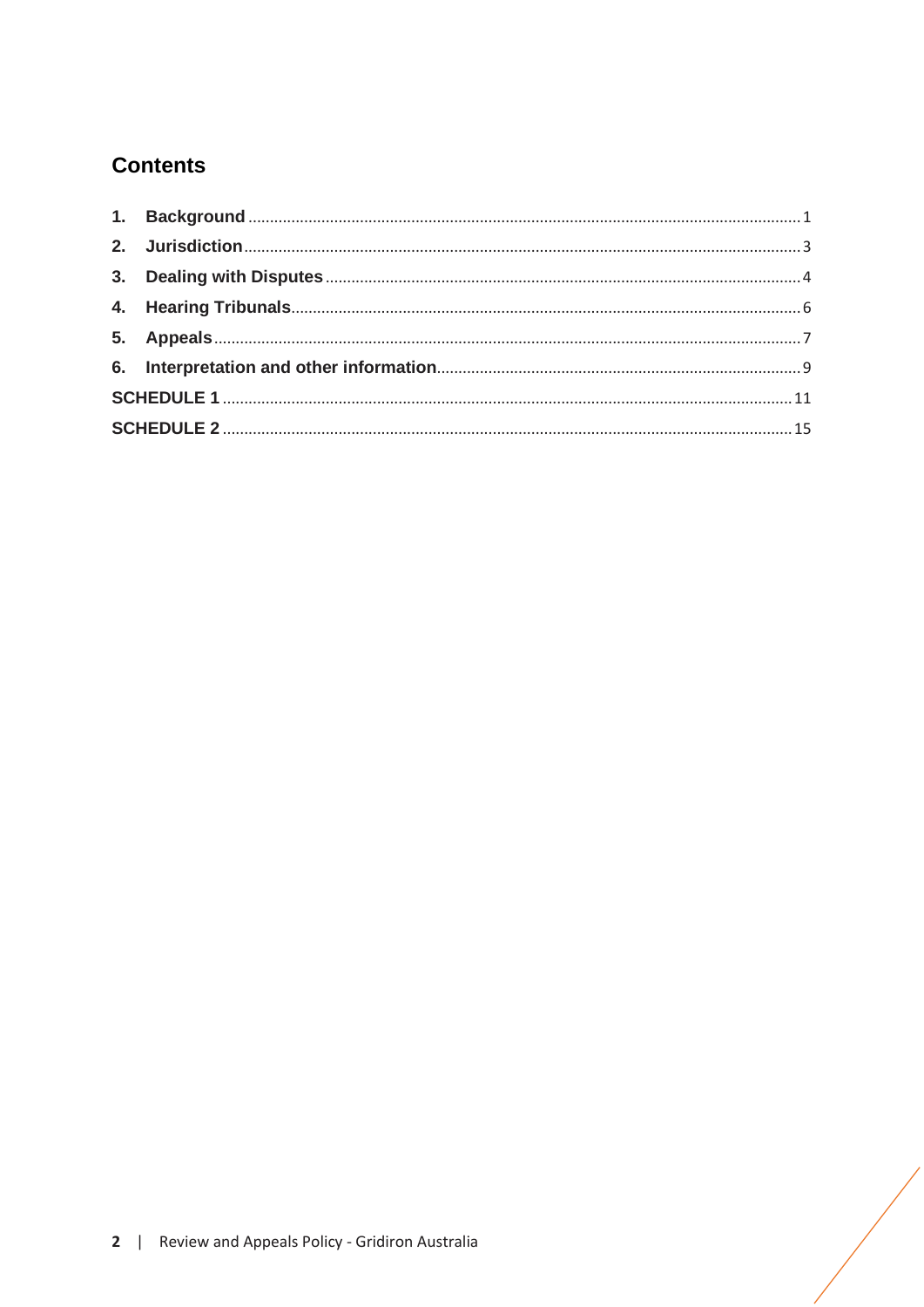# **Contents**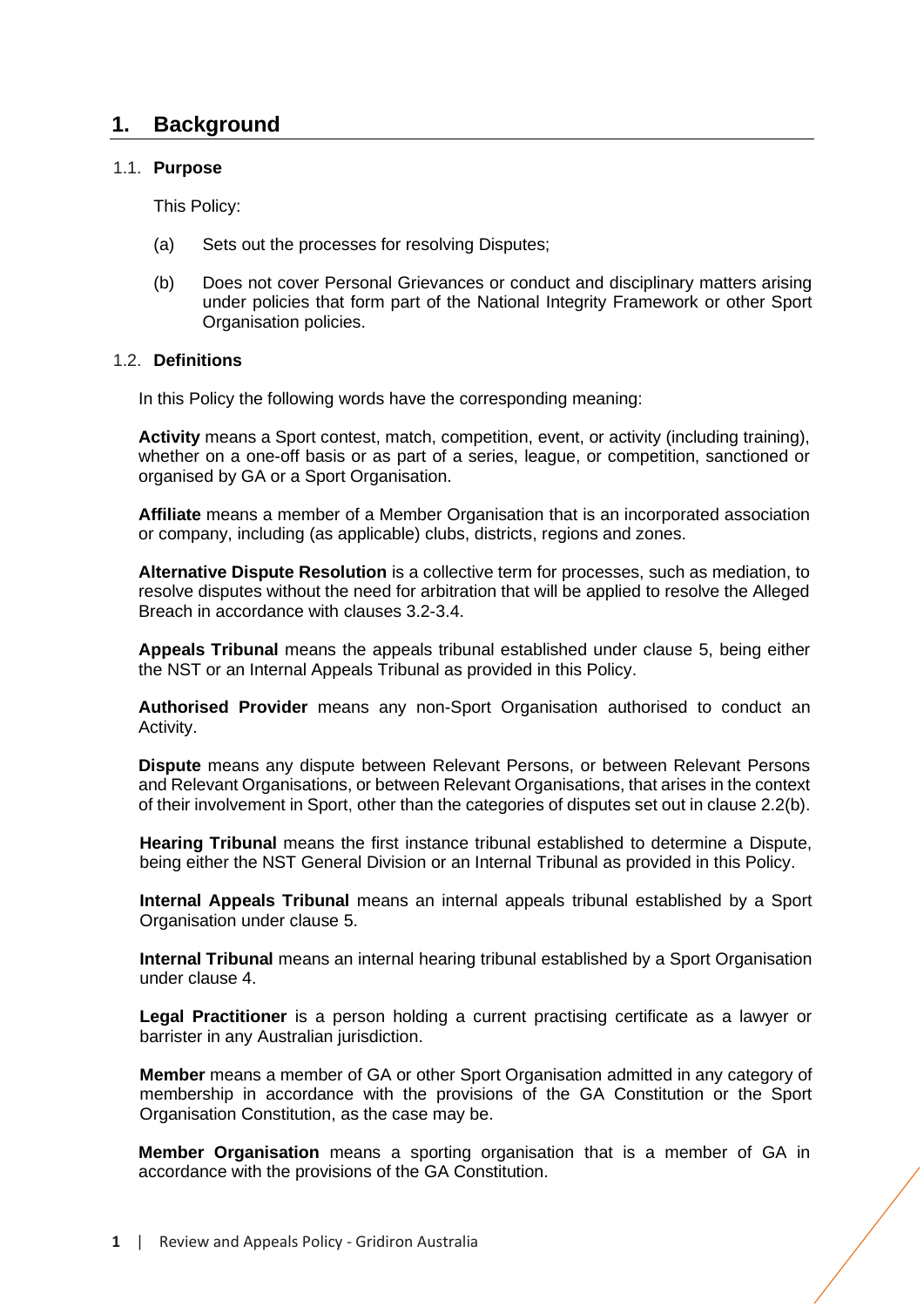# <span id="page-2-0"></span>**1. Background**

# 1.1. **Purpose**

This Policy:

- (a) Sets out the processes for resolving Disputes;
- (b) Does not cover Personal Grievances or conduct and disciplinary matters arising under policies that form part of the National Integrity Framework or other Sport Organisation policies.

# 1.2. **Definitions**

In this Policy the following words have the corresponding meaning:

**Activity** means a Sport contest, match, competition, event, or activity (including training), whether on a one-off basis or as part of a series, league, or competition, sanctioned or organised by GA or a Sport Organisation.

**Affiliate** means a member of a Member Organisation that is an incorporated association or company, including (as applicable) clubs, districts, regions and zones.

**Alternative Dispute Resolution** is a collective term for processes, such as mediation, to resolve disputes without the need for arbitration that will be applied to resolve the Alleged Breach in accordance with clauses [3.2](#page-6-0)[-3.4.](#page-6-1)

**Appeals Tribunal** means the appeals tribunal established under clause [5,](#page-8-0) being either the NST or an Internal Appeals Tribunal as provided in this Policy.

**Authorised Provider** means any non-Sport Organisation authorised to conduct an Activity.

**Dispute** means any dispute between Relevant Persons, or between Relevant Persons and Relevant Organisations, or between Relevant Organisations, that arises in the context of their involvement in Sport, other than the categories of disputes set out in clause [2.2\(](#page-4-1)b).

**Hearing Tribunal** means the first instance tribunal established to determine a Dispute, being either the NST General Division or an Internal Tribunal as provided in this Policy.

**Internal Appeals Tribunal** means an internal appeals tribunal established by a Sport Organisation under clause [5.](#page-8-0)

**Internal Tribunal** means an internal hearing tribunal established by a Sport Organisation under clause [4.](#page-7-0)

**Legal Practitioner** is a person holding a current practising certificate as a lawyer or barrister in any Australian jurisdiction.

**Member** means a member of GA or other Sport Organisation admitted in any category of membership in accordance with the provisions of the GA Constitution or the Sport Organisation Constitution, as the case may be.

**Member Organisation** means a sporting organisation that is a member of GA in accordance with the provisions of the GA Constitution.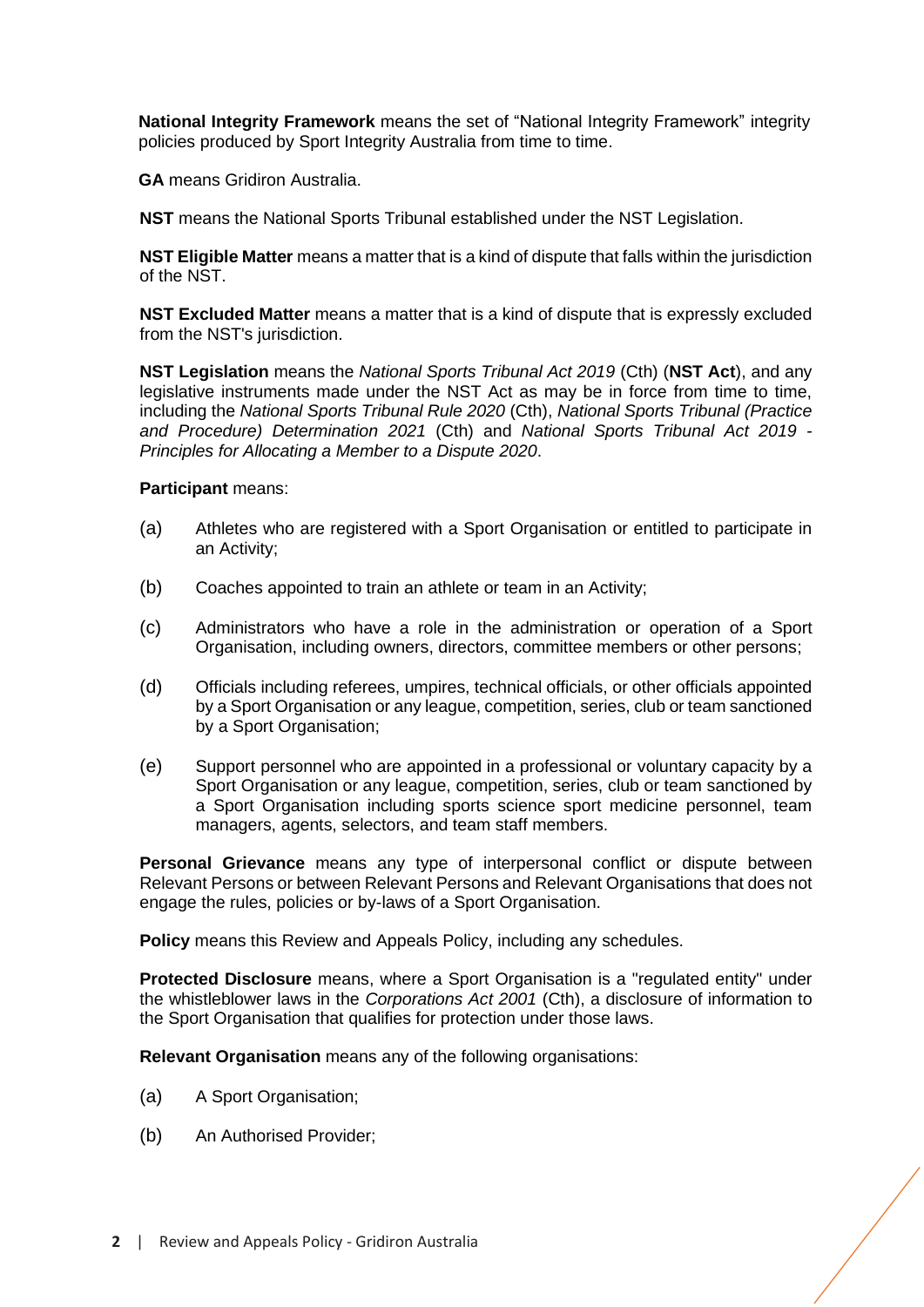**National Integrity Framework** means the set of "National Integrity Framework" integrity policies produced by Sport Integrity Australia from time to time.

**GA** means Gridiron Australia.

**NST** means the National Sports Tribunal established under the NST Legislation.

**NST Eligible Matter** means a matter that is a kind of dispute that falls within the jurisdiction of the NST.

**NST Excluded Matter** means a matter that is a kind of dispute that is expressly excluded from the NST's jurisdiction.

**NST Legislation** means the *National Sports Tribunal Act 2019* (Cth) (**NST Act**), and any legislative instruments made under the NST Act as may be in force from time to time, including the *National Sports Tribunal Rule 2020* (Cth), *National Sports Tribunal (Practice and Procedure) Determination 2021* (Cth) and *National Sports Tribunal Act 2019 - Principles for Allocating a Member to a Dispute 2020*.

# **Participant** means:

- (a) Athletes who are registered with a Sport Organisation or entitled to participate in an Activity;
- (b) Coaches appointed to train an athlete or team in an Activity;
- (c) Administrators who have a role in the administration or operation of a Sport Organisation, including owners, directors, committee members or other persons;
- (d) Officials including referees, umpires, technical officials, or other officials appointed by a Sport Organisation or any league, competition, series, club or team sanctioned by a Sport Organisation:
- (e) Support personnel who are appointed in a professional or voluntary capacity by a Sport Organisation or any league, competition, series, club or team sanctioned by a Sport Organisation including sports science sport medicine personnel, team managers, agents, selectors, and team staff members.

**Personal Grievance** means any type of interpersonal conflict or dispute between Relevant Persons or between Relevant Persons and Relevant Organisations that does not engage the rules, policies or by-laws of a Sport Organisation.

**Policy** means this Review and Appeals Policy, including any schedules.

**Protected Disclosure** means, where a Sport Organisation is a "regulated entity" under the whistleblower laws in the *Corporations Act 2001* (Cth), a disclosure of information to the Sport Organisation that qualifies for protection under those laws.

**Relevant Organisation** means any of the following organisations:

- (a) A Sport Organisation;
- (b) An Authorised Provider;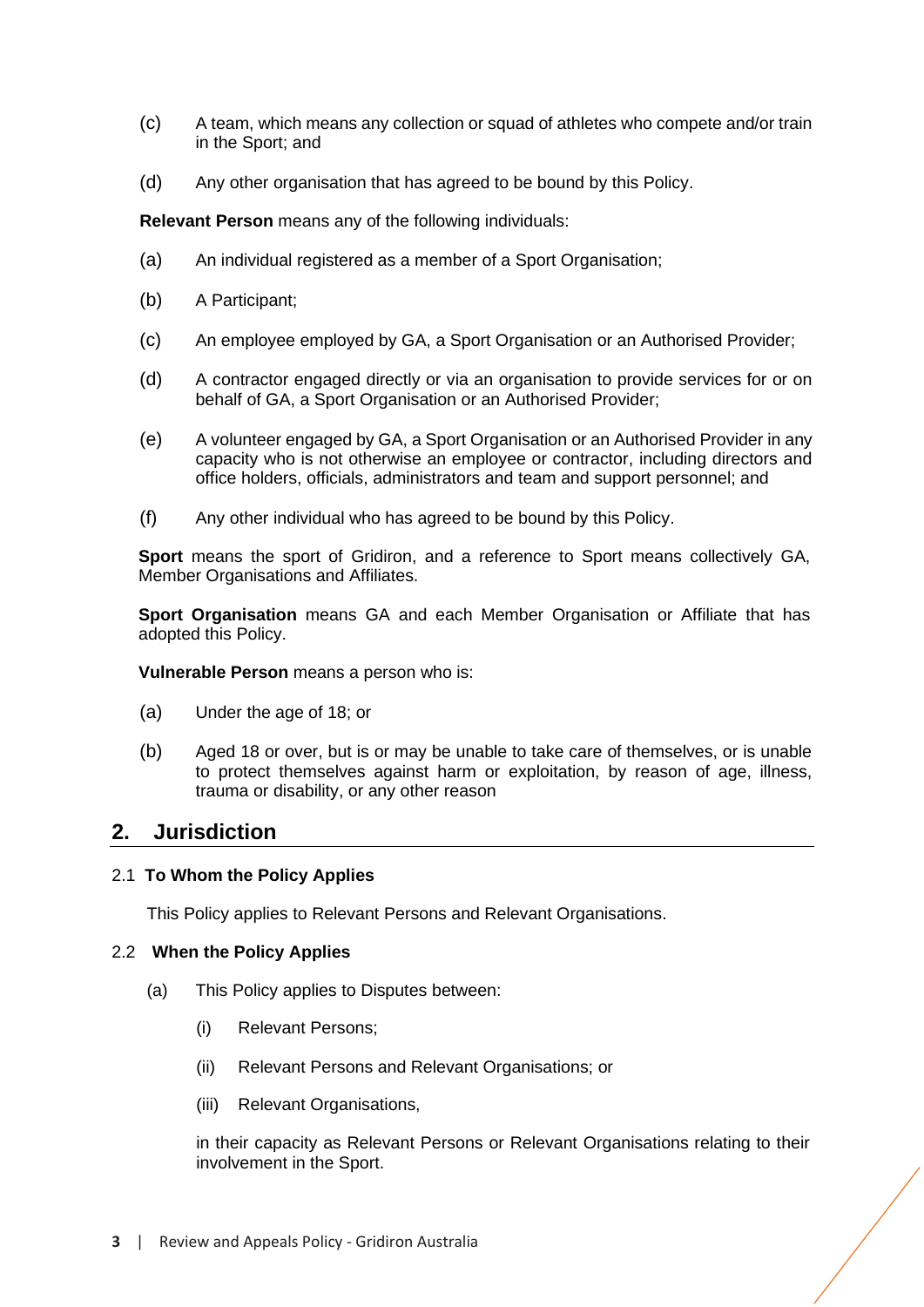- (c) A team, which means any collection or squad of athletes who compete and/or train in the Sport; and
- (d) Any other organisation that has agreed to be bound by this Policy.

**Relevant Person** means any of the following individuals:

- (a) An individual registered as a member of a Sport Organisation;
- (b) A Participant;
- (c) An employee employed by GA, a Sport Organisation or an Authorised Provider;
- (d) A contractor engaged directly or via an organisation to provide services for or on behalf of GA, a Sport Organisation or an Authorised Provider;
- (e) A volunteer engaged by GA, a Sport Organisation or an Authorised Provider in any capacity who is not otherwise an employee or contractor, including directors and office holders, officials, administrators and team and support personnel; and
- (f) Any other individual who has agreed to be bound by this Policy.

**Sport** means the sport of Gridiron, and a reference to Sport means collectively GA, Member Organisations and Affiliates.

**Sport Organisation** means GA and each Member Organisation or Affiliate that has adopted this Policy.

**Vulnerable Person** means a person who is:

- (a) Under the age of 18; or
- (b) Aged 18 or over, but is or may be unable to take care of themselves, or is unable to protect themselves against harm or exploitation, by reason of age, illness, trauma or disability, or any other reason

# <span id="page-4-0"></span>**2. Jurisdiction**

#### 2.1 **To Whom the Policy Applies**

This Policy applies to Relevant Persons and Relevant Organisations.

#### <span id="page-4-1"></span>2.2 **When the Policy Applies**

- (a) This Policy applies to Disputes between:
	- (i) Relevant Persons;
	- (ii) Relevant Persons and Relevant Organisations; or
	- (iii) Relevant Organisations,

in their capacity as Relevant Persons or Relevant Organisations relating to their involvement in the Sport.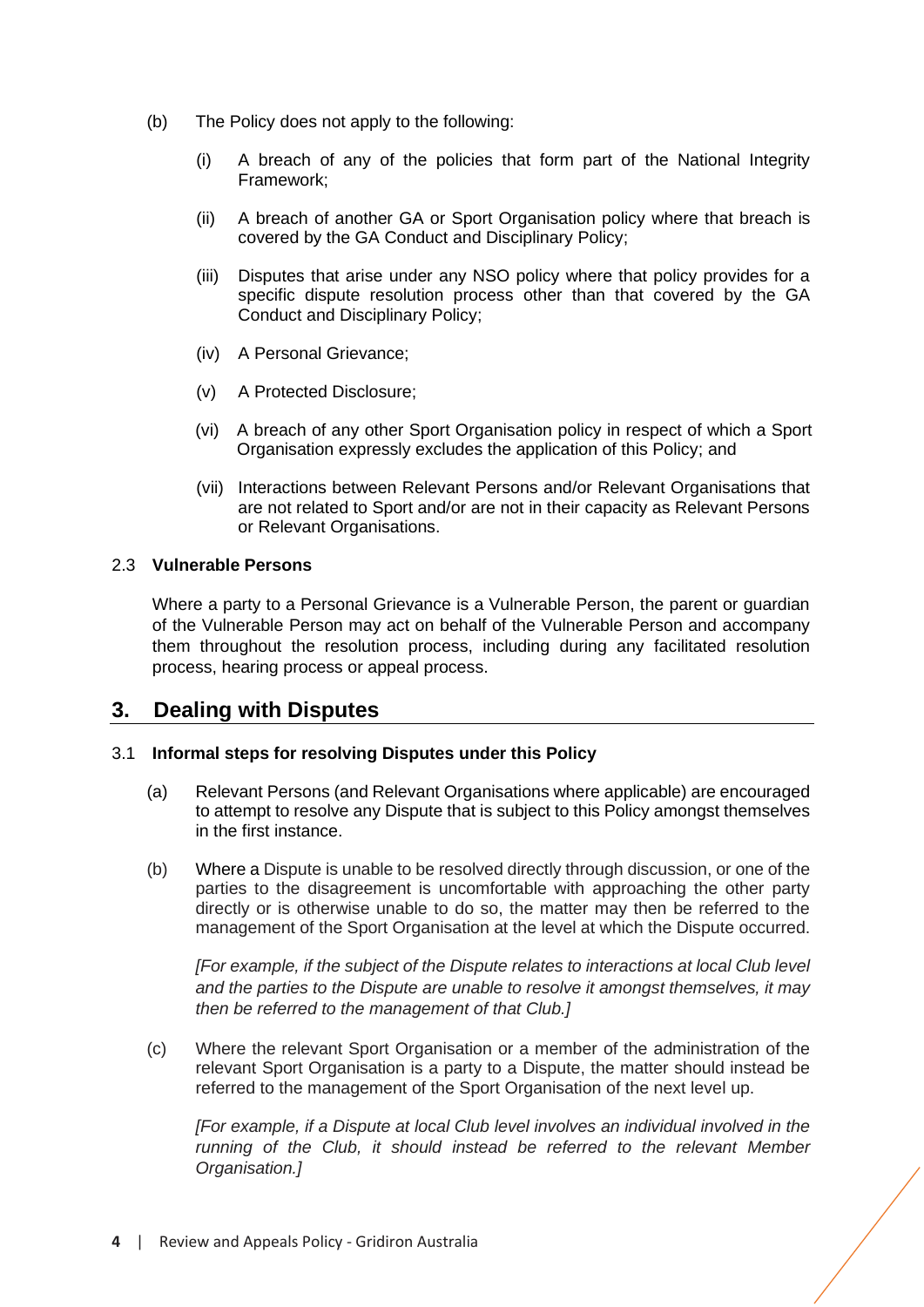- (b) The Policy does not apply to the following:
	- (i) A breach of any of the policies that form part of the National Integrity Framework;
	- (ii) A breach of another GA or Sport Organisation policy where that breach is covered by the GA Conduct and Disciplinary Policy;
	- (iii) Disputes that arise under any NSO policy where that policy provides for a specific dispute resolution process other than that covered by the GA Conduct and Disciplinary Policy;
	- (iv) A Personal Grievance;
	- (v) A Protected Disclosure;
	- (vi) A breach of any other Sport Organisation policy in respect of which a Sport Organisation expressly excludes the application of this Policy; and
	- (vii) Interactions between Relevant Persons and/or Relevant Organisations that are not related to Sport and/or are not in their capacity as Relevant Persons or Relevant Organisations.

# 2.3 **Vulnerable Persons**

Where a party to a Personal Grievance is a Vulnerable Person, the parent or guardian of the Vulnerable Person may act on behalf of the Vulnerable Person and accompany them throughout the resolution process, including during any facilitated resolution process, hearing process or appeal process.

# <span id="page-5-0"></span>**3. Dealing with Disputes**

# 3.1 **Informal steps for resolving Disputes under this Policy**

- (a) Relevant Persons (and Relevant Organisations where applicable) are encouraged to attempt to resolve any Dispute that is subject to this Policy amongst themselves in the first instance.
- (b) Where a Dispute is unable to be resolved directly through discussion, or one of the parties to the disagreement is uncomfortable with approaching the other party directly or is otherwise unable to do so, the matter may then be referred to the management of the Sport Organisation at the level at which the Dispute occurred.

*[For example, if the subject of the Dispute relates to interactions at local Club level and the parties to the Dispute are unable to resolve it amongst themselves, it may then be referred to the management of that Club.]*

(c) Where the relevant Sport Organisation or a member of the administration of the relevant Sport Organisation is a party to a Dispute, the matter should instead be referred to the management of the Sport Organisation of the next level up.

*[For example, if a Dispute at local Club level involves an individual involved in the running of the Club, it should instead be referred to the relevant Member Organisation.]*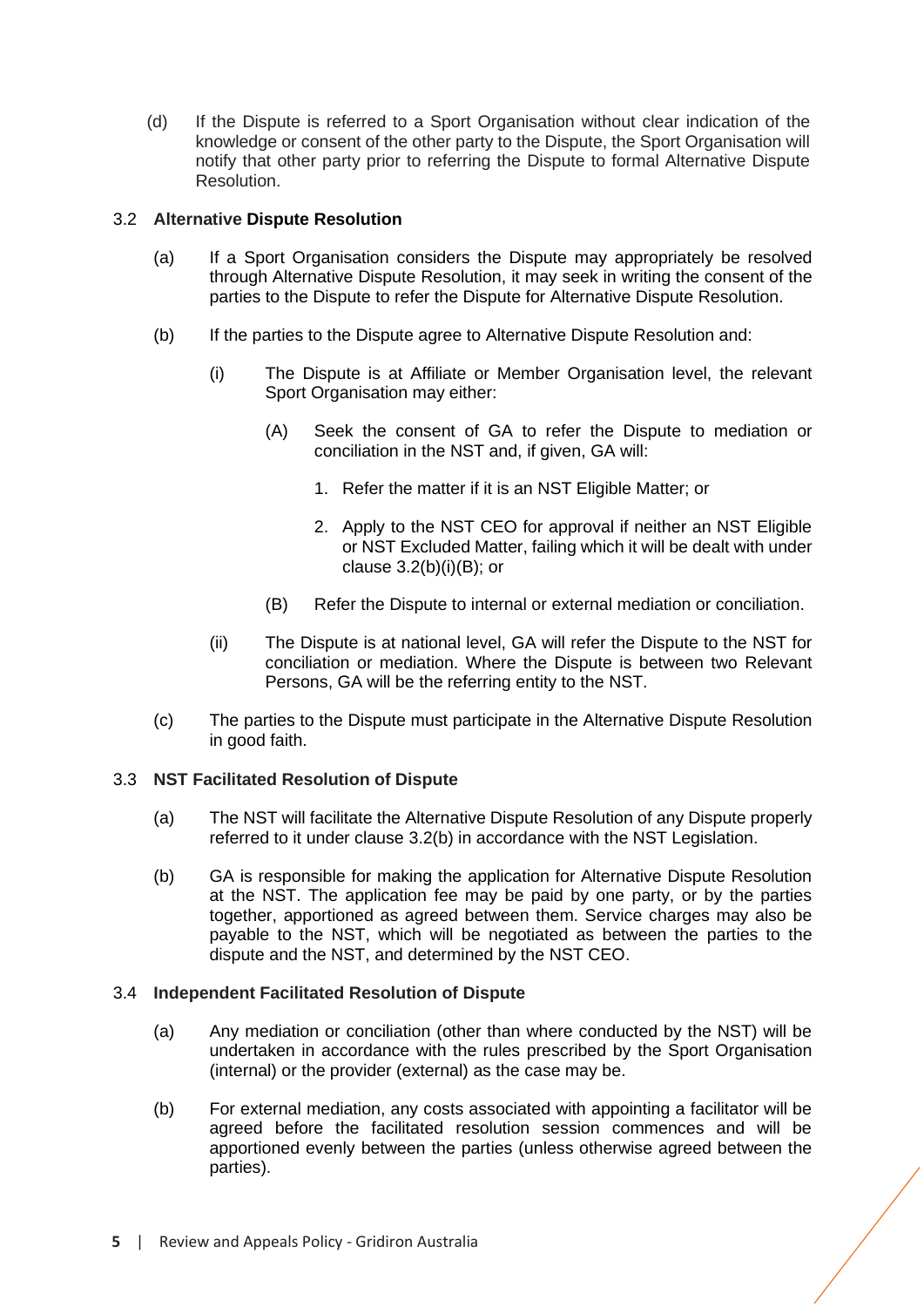(d) If the Dispute is referred to a Sport Organisation without clear indication of the knowledge or consent of the other party to the Dispute, the Sport Organisation will notify that other party prior to referring the Dispute to formal Alternative Dispute Resolution.

# <span id="page-6-0"></span>3.2 **Alternative Dispute Resolution**

- (a) If a Sport Organisation considers the Dispute may appropriately be resolved through Alternative Dispute Resolution, it may seek in writing the consent of the parties to the Dispute to refer the Dispute for Alternative Dispute Resolution.
- (b) If the parties to the Dispute agree to Alternative Dispute Resolution and:
	- (i) The Dispute is at Affiliate or Member Organisation level, the relevant Sport Organisation may either:
		- (A) Seek the consent of GA to refer the Dispute to mediation or conciliation in the NST and, if given, GA will:
			- 1. Refer the matter if it is an NST Eligible Matter; or
			- 2. Apply to the NST CEO for approval if neither an NST Eligible or NST Excluded Matter, failing which it will be dealt with under clause  $3.2(b)(i)(B)$ ; or
		- (B) Refer the Dispute to internal or external mediation or conciliation.
	- (ii) The Dispute is at national level, GA will refer the Dispute to the NST for conciliation or mediation. Where the Dispute is between two Relevant Persons, GA will be the referring entity to the NST.
- (c) The parties to the Dispute must participate in the Alternative Dispute Resolution in good faith.

# 3.3 **NST Facilitated Resolution of Dispute**

- (a) The NST will facilitate the Alternative Dispute Resolution of any Dispute properly referred to it under clause [3.2\(](#page-6-0)b) in accordance with the NST Legislation.
- (b) GA is responsible for making the application for Alternative Dispute Resolution at the NST. The application fee may be paid by one party, or by the parties together, apportioned as agreed between them. Service charges may also be payable to the NST, which will be negotiated as between the parties to the dispute and the NST, and determined by the NST CEO.

# <span id="page-6-1"></span>3.4 **Independent Facilitated Resolution of Dispute**

- (a) Any mediation or conciliation (other than where conducted by the NST) will be undertaken in accordance with the rules prescribed by the Sport Organisation (internal) or the provider (external) as the case may be.
- (b) For external mediation, any costs associated with appointing a facilitator will be agreed before the facilitated resolution session commences and will be apportioned evenly between the parties (unless otherwise agreed between the parties).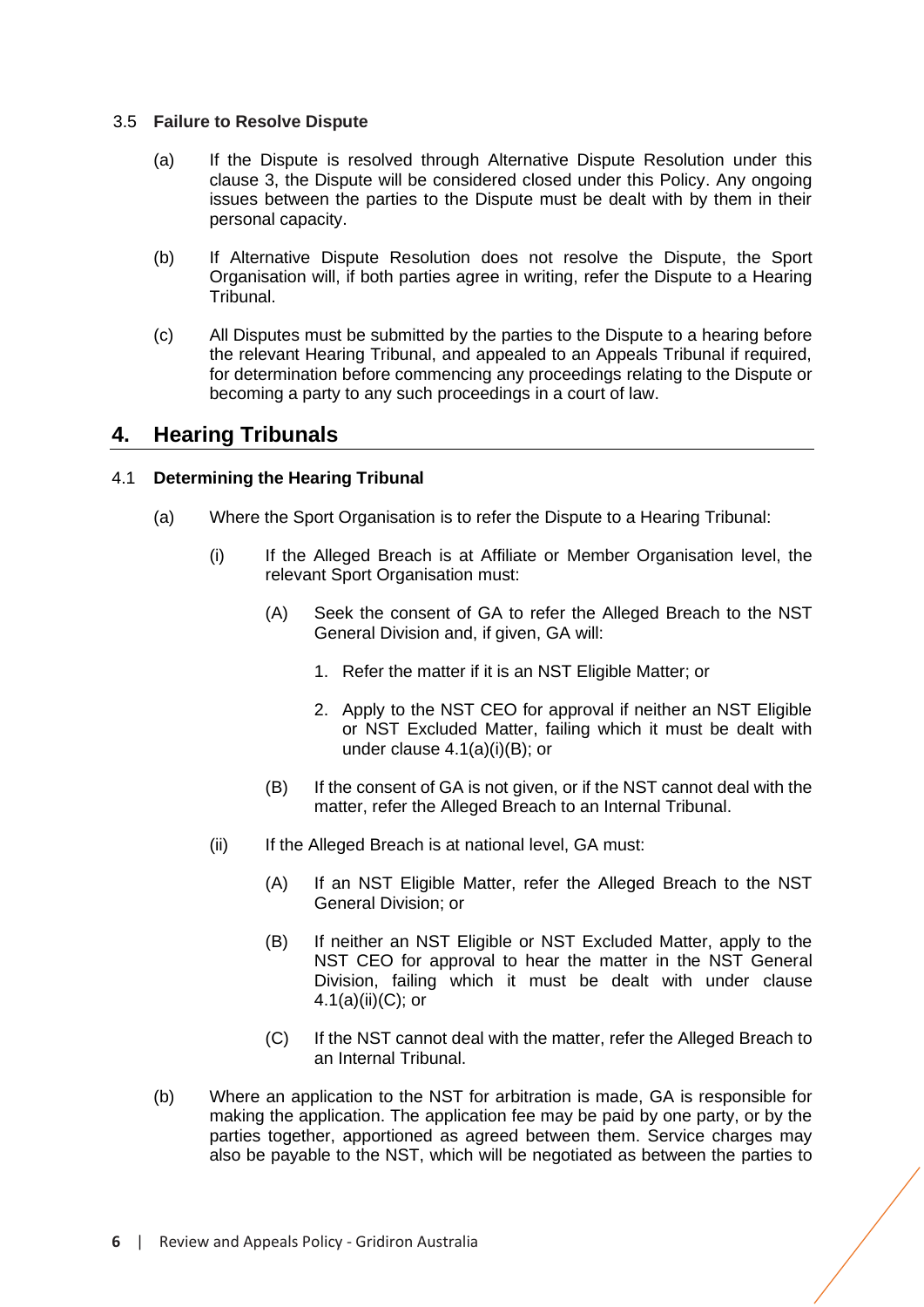# 3.5 **Failure to Resolve Dispute**

- (a) If the Dispute is resolved through Alternative Dispute Resolution under this clause [3,](#page-5-0) the Dispute will be considered closed under this Policy. Any ongoing issues between the parties to the Dispute must be dealt with by them in their personal capacity.
- (b) If Alternative Dispute Resolution does not resolve the Dispute, the Sport Organisation will, if both parties agree in writing, refer the Dispute to a Hearing Tribunal.
- (c) All Disputes must be submitted by the parties to the Dispute to a hearing before the relevant Hearing Tribunal, and appealed to an Appeals Tribunal if required, for determination before commencing any proceedings relating to the Dispute or becoming a party to any such proceedings in a court of law.

# <span id="page-7-0"></span>**4. Hearing Tribunals**

# <span id="page-7-1"></span>4.1 **Determining the Hearing Tribunal**

- (a) Where the Sport Organisation is to refer the Dispute to a Hearing Tribunal:
	- (i) If the Alleged Breach is at Affiliate or Member Organisation level, the relevant Sport Organisation must:
		- (A) Seek the consent of GA to refer the Alleged Breach to the NST General Division and, if given, GA will:
			- 1. Refer the matter if it is an NST Eligible Matter; or
			- 2. Apply to the NST CEO for approval if neither an NST Eligible or NST Excluded Matter, failing which it must be dealt with under clause [4.1\(](#page-7-1)a)(i)(B); or
		- (B) If the consent of GA is not given, or if the NST cannot deal with the matter, refer the Alleged Breach to an Internal Tribunal.
	- (ii) If the Alleged Breach is at national level, GA must:
		- (A) If an NST Eligible Matter, refer the Alleged Breach to the NST General Division; or
		- (B) If neither an NST Eligible or NST Excluded Matter, apply to the NST CEO for approval to hear the matter in the NST General Division, failing which it must be dealt with under clause [4.1\(](#page-7-1)a)(ii)(C); or
		- (C) If the NST cannot deal with the matter, refer the Alleged Breach to an Internal Tribunal.
- (b) Where an application to the NST for arbitration is made, GA is responsible for making the application. The application fee may be paid by one party, or by the parties together, apportioned as agreed between them. Service charges may also be payable to the NST, which will be negotiated as between the parties to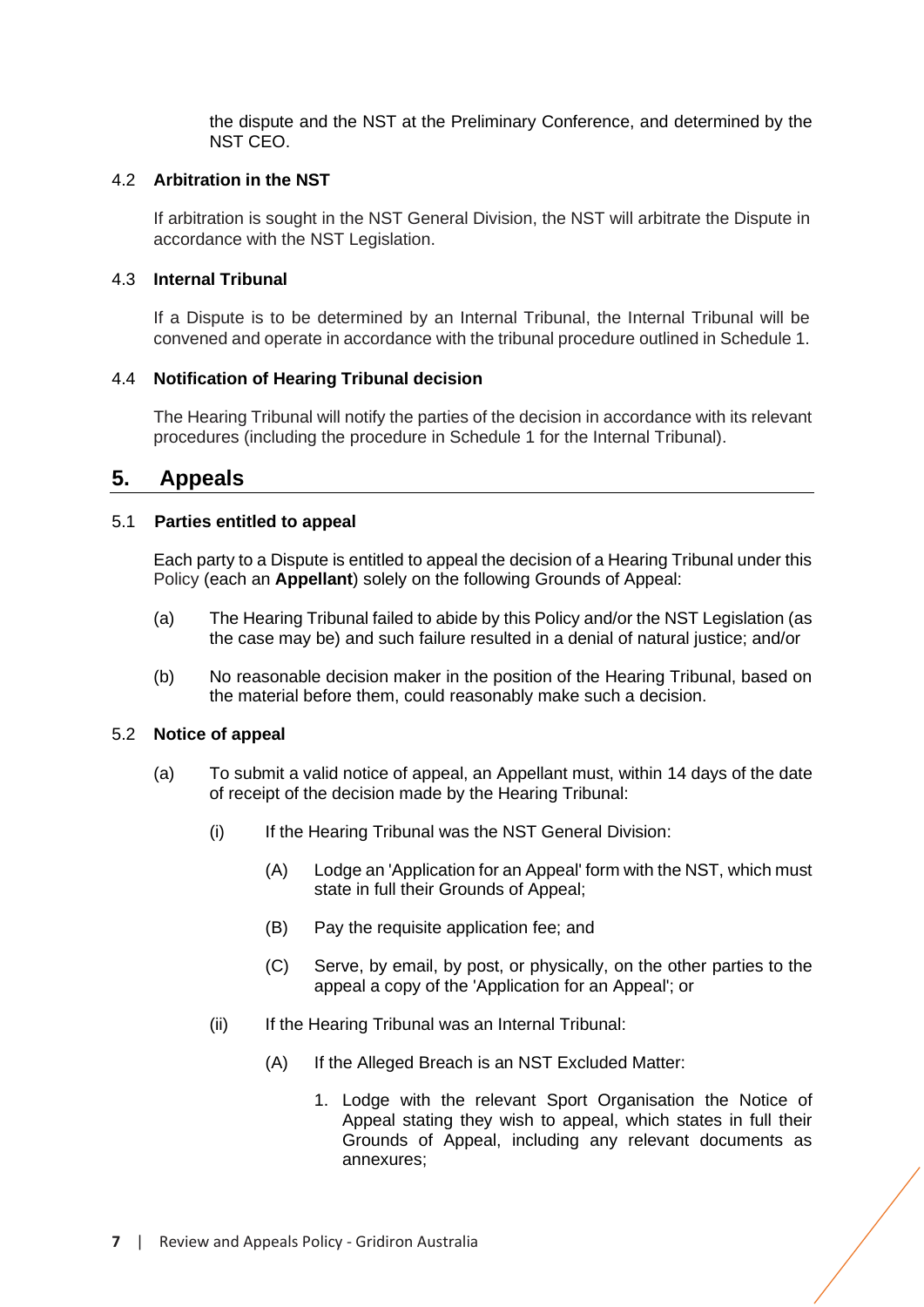the dispute and the NST at the Preliminary Conference, and determined by the NST CEO.

# 4.2 **Arbitration in the NST**

If arbitration is sought in the NST General Division, the NST will arbitrate the Dispute in accordance with the NST Legislation.

# 4.3 **Internal Tribunal**

If a Dispute is to be determined by an Internal Tribunal, the Internal Tribunal will be convened and operate in accordance with the tribunal procedure outlined in Schedule 1.

# 4.4 **Notification of Hearing Tribunal decision**

The Hearing Tribunal will notify the parties of the decision in accordance with its relevant procedures (including the procedure in Schedule 1 for the Internal Tribunal).

# <span id="page-8-0"></span>**5. Appeals**

# 5.1 **Parties entitled to appeal**

<span id="page-8-2"></span>Each party to a Dispute is entitled to appeal the decision of a Hearing Tribunal under this Policy (each an **Appellant**) solely on the following Grounds of Appeal:

- (a) The Hearing Tribunal failed to abide by this Policy and/or the NST Legislation (as the case may be) and such failure resulted in a denial of natural justice; and/or
- (b) No reasonable decision maker in the position of the Hearing Tribunal, based on the material before them, could reasonably make such a decision.

#### <span id="page-8-1"></span>5.2 **Notice of appeal**

- (a) To submit a valid notice of appeal, an Appellant must, within 14 days of the date of receipt of the decision made by the Hearing Tribunal:
	- (i) If the Hearing Tribunal was the NST General Division:
		- (A) Lodge an 'Application for an Appeal' form with the NST, which must state in full their Grounds of Appeal;
		- (B) Pay the requisite application fee; and
		- (C) Serve, by email, by post, or physically, on the other parties to the appeal a copy of the 'Application for an Appeal'; or
	- (ii) If the Hearing Tribunal was an Internal Tribunal:
		- (A) If the Alleged Breach is an NST Excluded Matter:
			- 1. Lodge with the relevant Sport Organisation the Notice of Appeal stating they wish to appeal, which states in full their Grounds of Appeal, including any relevant documents as annexures;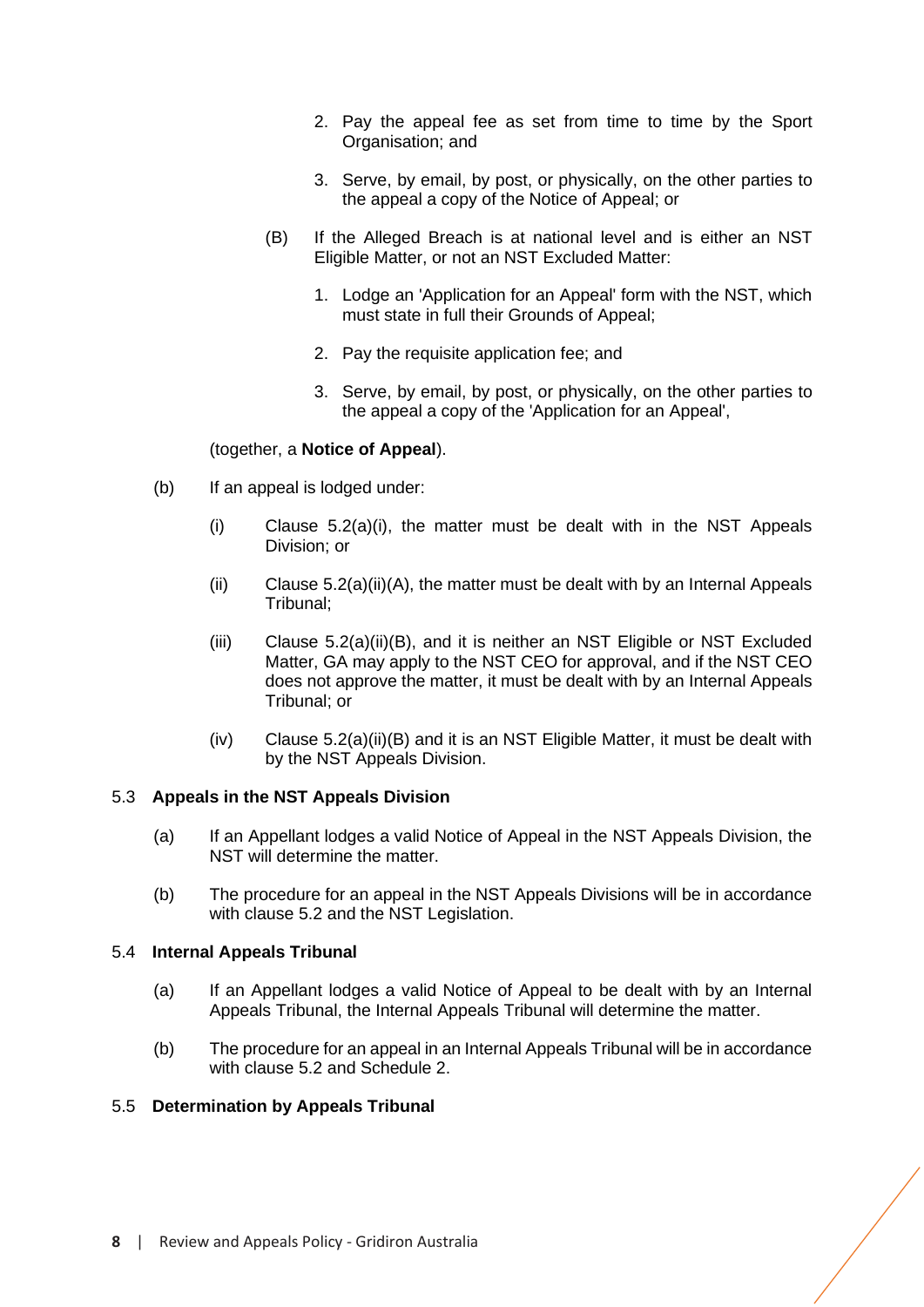- 2. Pay the appeal fee as set from time to time by the Sport Organisation; and
- 3. Serve, by email, by post, or physically, on the other parties to the appeal a copy of the Notice of Appeal; or
- (B) If the Alleged Breach is at national level and is either an NST Eligible Matter, or not an NST Excluded Matter:
	- 1. Lodge an 'Application for an Appeal' form with the NST, which must state in full their Grounds of Appeal;
	- 2. Pay the requisite application fee; and
	- 3. Serve, by email, by post, or physically, on the other parties to the appeal a copy of the 'Application for an Appeal',

#### (together, a **Notice of Appeal**).

- (b) If an appeal is lodged under:
	- $(i)$  Clause [5.2\(](#page-8-1)a)(i), the matter must be dealt with in the NST Appeals Division; or
	- (ii) Clause  $5.2(a)(ii)(A)$ , the matter must be dealt with by an Internal Appeals Tribunal;
	- (iii) Clause [5.2\(](#page-8-1)a)(ii)(B), and it is neither an NST Eligible or NST Excluded Matter, GA may apply to the NST CEO for approval, and if the NST CEO does not approve the matter, it must be dealt with by an Internal Appeals Tribunal; or
	- $(iv)$  Clause [5.2\(](#page-8-1)a)(ii)(B) and it is an NST Eligible Matter, it must be dealt with by the NST Appeals Division.

# 5.3 **Appeals in the NST Appeals Division**

- (a) If an Appellant lodges a valid Notice of Appeal in the NST Appeals Division, the NST will determine the matter.
- (b) The procedure for an appeal in the NST Appeals Divisions will be in accordance with clause [5.2](#page-8-1) and the NST Legislation.

#### <span id="page-9-0"></span>5.4 **Internal Appeals Tribunal**

- (a) If an Appellant lodges a valid Notice of Appeal to be dealt with by an Internal Appeals Tribunal, the Internal Appeals Tribunal will determine the matter.
- (b) The procedure for an appeal in an Internal Appeals Tribunal will be in accordance with clause [5.2](#page-8-1) and Schedule 2.

# <span id="page-9-1"></span>5.5 **Determination by Appeals Tribunal**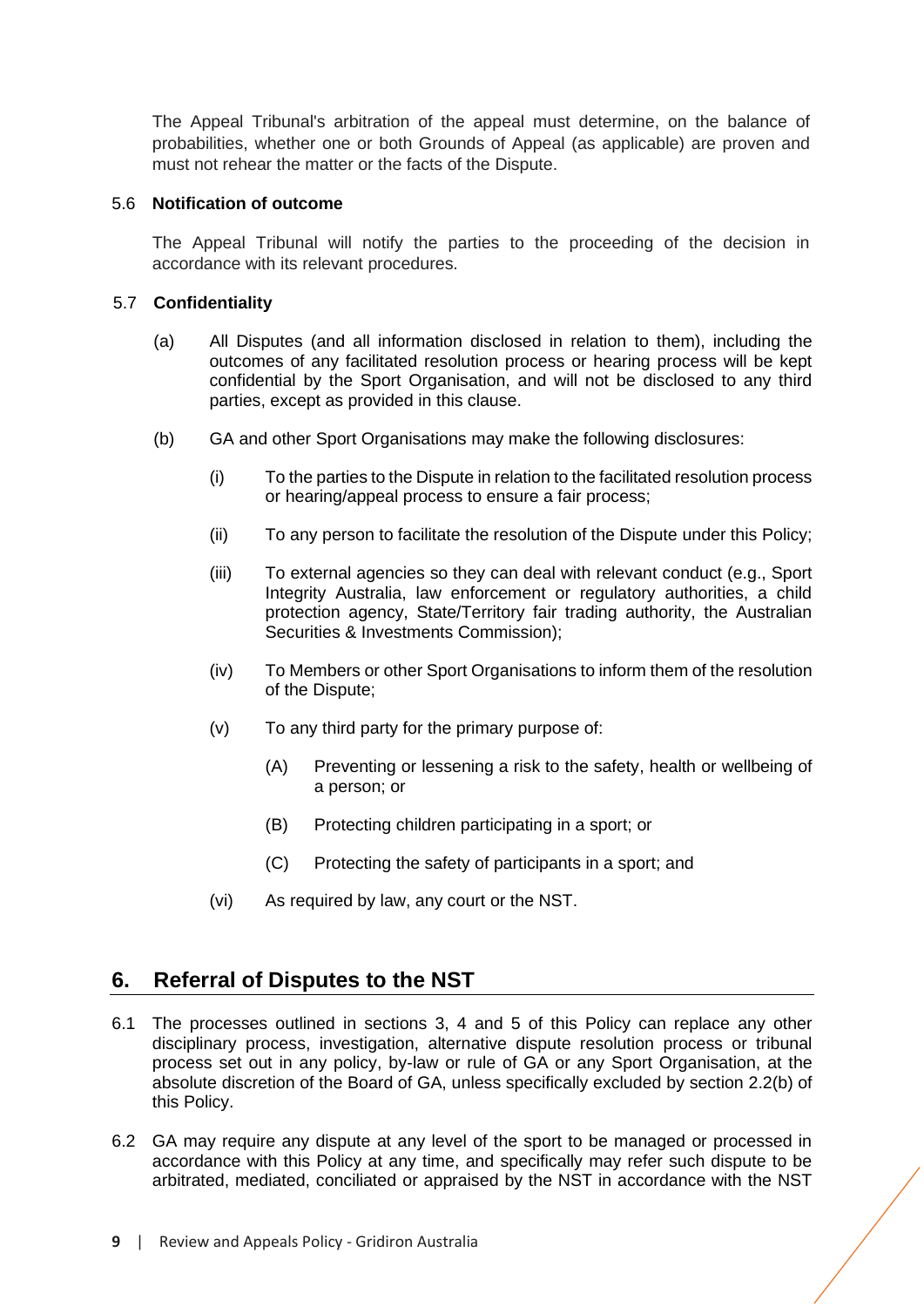The Appeal Tribunal's arbitration of the appeal must determine, on the balance of probabilities, whether one or both Grounds of Appeal (as applicable) are proven and must not rehear the matter or the facts of the Dispute.

# 5.6 **Notification of outcome**

The Appeal Tribunal will notify the parties to the proceeding of the decision in accordance with its relevant procedures.

# 5.7 **Confidentiality**

- (a) All Disputes (and all information disclosed in relation to them), including the outcomes of any facilitated resolution process or hearing process will be kept confidential by the Sport Organisation, and will not be disclosed to any third parties, except as provided in this clause.
- (b) GA and other Sport Organisations may make the following disclosures:
	- (i) To the parties to the Dispute in relation to the facilitated resolution process or hearing/appeal process to ensure a fair process;
	- (ii) To any person to facilitate the resolution of the Dispute under this Policy;
	- (iii) To external agencies so they can deal with relevant conduct (e.g., Sport Integrity Australia, law enforcement or regulatory authorities, a child protection agency, State/Territory fair trading authority, the Australian Securities & Investments Commission);
	- (iv) To Members or other Sport Organisations to inform them of the resolution of the Dispute;
	- (v) To any third party for the primary purpose of:
		- (A) Preventing or lessening a risk to the safety, health or wellbeing of a person; or
		- (B) Protecting children participating in a sport; or
		- (C) Protecting the safety of participants in a sport; and
	- (vi) As required by law, any court or the NST.

# <span id="page-10-0"></span>**6. Referral of Disputes to the NST**

- 6.1 The processes outlined in sections 3, [4](#page-7-0) and [5](#page-8-0) of this Policy can replace any other disciplinary process, investigation, alternative dispute resolution process or tribunal process set out in any policy, by-law or rule of GA or any Sport Organisation, at the absolute discretion of the Board of GA, unless specifically excluded by section 2.2(b) of this Policy.
- 6.2 GA may require any dispute at any level of the sport to be managed or processed in accordance with this Policy at any time, and specifically may refer such dispute to be arbitrated, mediated, conciliated or appraised by the NST in accordance with the NST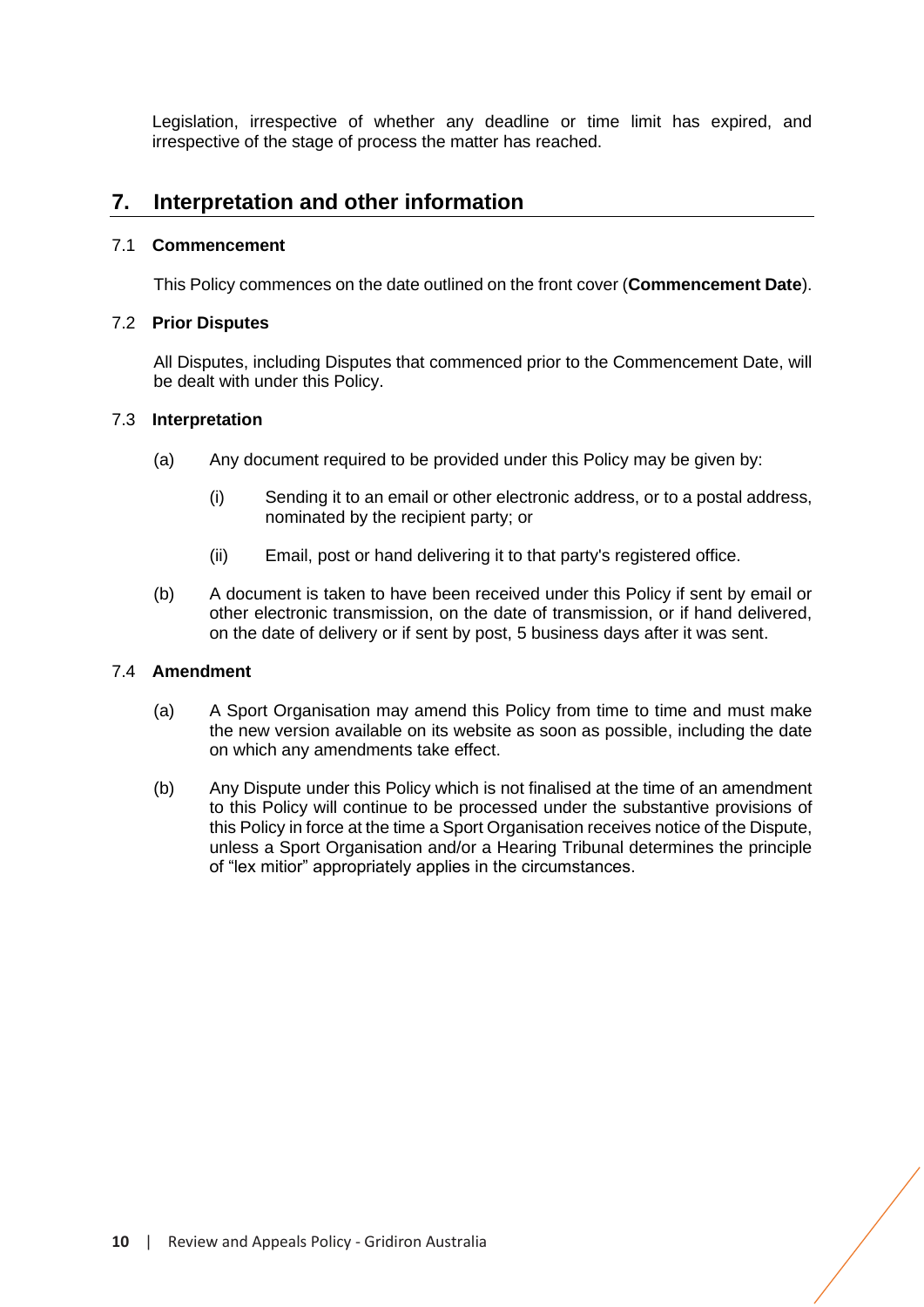Legislation, irrespective of whether any deadline or time limit has expired, and irrespective of the stage of process the matter has reached.

# **7. Interpretation and other information**

# 7.1 **Commencement**

This Policy commences on the date outlined on the front cover (**Commencement Date**).

# 7.2 **Prior Disputes**

All Disputes, including Disputes that commenced prior to the Commencement Date, will be dealt with under this Policy.

# 7.3 **Interpretation**

- (a) Any document required to be provided under this Policy may be given by:
	- (i) Sending it to an email or other electronic address, or to a postal address, nominated by the recipient party; or
	- (ii) Email, post or hand delivering it to that party's registered office.
- (b) A document is taken to have been received under this Policy if sent by email or other electronic transmission, on the date of transmission, or if hand delivered, on the date of delivery or if sent by post, 5 business days after it was sent.

#### 7.4 **Amendment**

- (a) A Sport Organisation may amend this Policy from time to time and must make the new version available on its website as soon as possible, including the date on which any amendments take effect.
- (b) Any Dispute under this Policy which is not finalised at the time of an amendment to this Policy will continue to be processed under the substantive provisions of this Policy in force at the time a Sport Organisation receives notice of the Dispute, unless a Sport Organisation and/or a Hearing Tribunal determines the principle of "lex mitior" appropriately applies in the circumstances.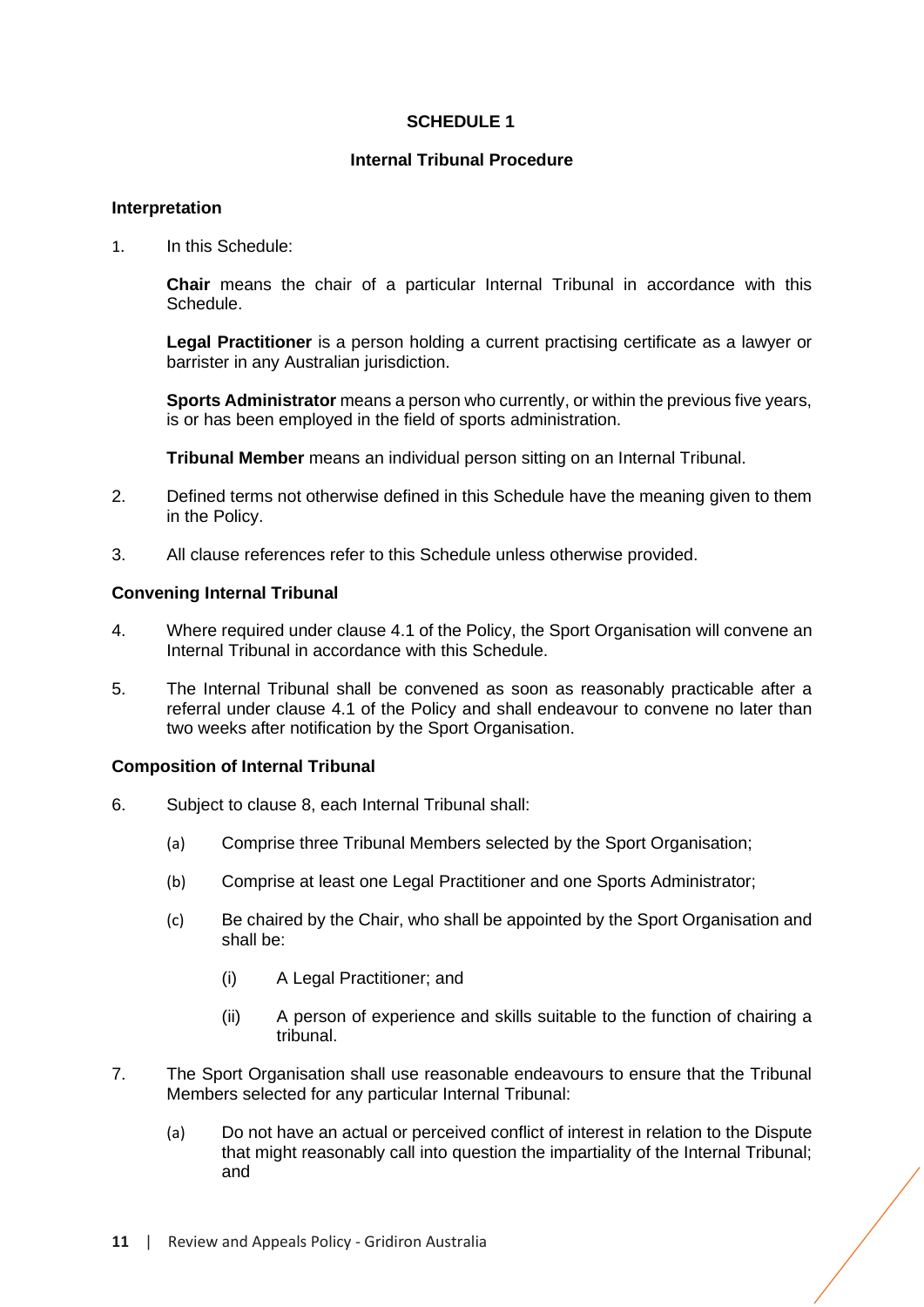# **SCHEDULE 1**

# **Internal Tribunal Procedure**

#### <span id="page-12-0"></span>**Interpretation**

1. In this Schedule:

**Chair** means the chair of a particular Internal Tribunal in accordance with this Schedule.

**Legal Practitioner** is a person holding a current practising certificate as a lawyer or barrister in any Australian jurisdiction.

**Sports Administrator** means a person who currently, or within the previous five years, is or has been employed in the field of sports administration.

**Tribunal Member** means an individual person sitting on an Internal Tribunal.

- 2. Defined terms not otherwise defined in this Schedule have the meaning given to them in the Policy.
- 3. All clause references refer to this Schedule unless otherwise provided.

# **Convening Internal Tribunal**

- 4. Where required under clause [4.1](#page-7-1) of the Policy, the Sport Organisation will convene an Internal Tribunal in accordance with this Schedule.
- 5. The Internal Tribunal shall be convened as soon as reasonably practicable after a referral under clause [4.1](#page-7-1) of the Policy and shall endeavour to convene no later than two weeks after notification by the Sport Organisation.

#### **Composition of Internal Tribunal**

- 6. Subject to clause 8, each Internal Tribunal shall:
	- (a) Comprise three Tribunal Members selected by the Sport Organisation;
	- (b) Comprise at least one Legal Practitioner and one Sports Administrator;
	- (c) Be chaired by the Chair, who shall be appointed by the Sport Organisation and shall be:
		- (i) A Legal Practitioner; and
		- (ii) A person of experience and skills suitable to the function of chairing a tribunal.
- 7. The Sport Organisation shall use reasonable endeavours to ensure that the Tribunal Members selected for any particular Internal Tribunal:
	- (a) Do not have an actual or perceived conflict of interest in relation to the Dispute that might reasonably call into question the impartiality of the Internal Tribunal; and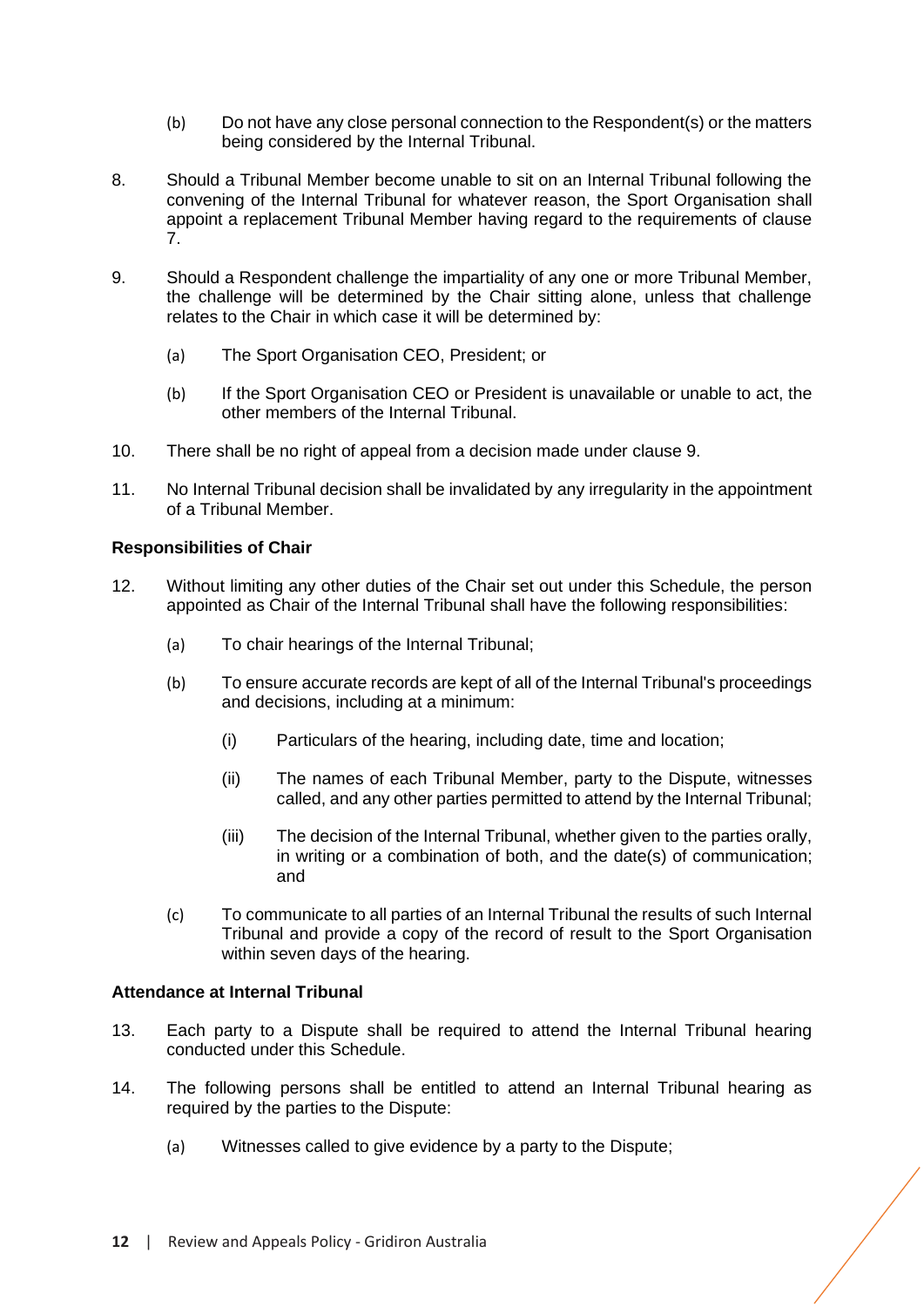- (b) Do not have any close personal connection to the Respondent(s) or the matters being considered by the Internal Tribunal.
- 8. Should a Tribunal Member become unable to sit on an Internal Tribunal following the convening of the Internal Tribunal for whatever reason, the Sport Organisation shall appoint a replacement Tribunal Member having regard to the requirements of clause 7.
- 9. Should a Respondent challenge the impartiality of any one or more Tribunal Member, the challenge will be determined by the Chair sitting alone, unless that challenge relates to the Chair in which case it will be determined by:
	- (a) The Sport Organisation CEO, President; or
	- (b) If the Sport Organisation CEO or President is unavailable or unable to act, the other members of the Internal Tribunal.
- 10. There shall be no right of appeal from a decision made under clause 9.
- 11. No Internal Tribunal decision shall be invalidated by any irregularity in the appointment of a Tribunal Member.

# **Responsibilities of Chair**

- 12. Without limiting any other duties of the Chair set out under this Schedule, the person appointed as Chair of the Internal Tribunal shall have the following responsibilities:
	- (a) To chair hearings of the Internal Tribunal;
	- (b) To ensure accurate records are kept of all of the Internal Tribunal's proceedings and decisions, including at a minimum:
		- (i) Particulars of the hearing, including date, time and location;
		- (ii) The names of each Tribunal Member, party to the Dispute, witnesses called, and any other parties permitted to attend by the Internal Tribunal;
		- (iii) The decision of the Internal Tribunal, whether given to the parties orally, in writing or a combination of both, and the date(s) of communication; and
	- (c) To communicate to all parties of an Internal Tribunal the results of such Internal Tribunal and provide a copy of the record of result to the Sport Organisation within seven days of the hearing.

#### **Attendance at Internal Tribunal**

- 13. Each party to a Dispute shall be required to attend the Internal Tribunal hearing conducted under this Schedule.
- 14. The following persons shall be entitled to attend an Internal Tribunal hearing as required by the parties to the Dispute:
	- (a) Witnesses called to give evidence by a party to the Dispute;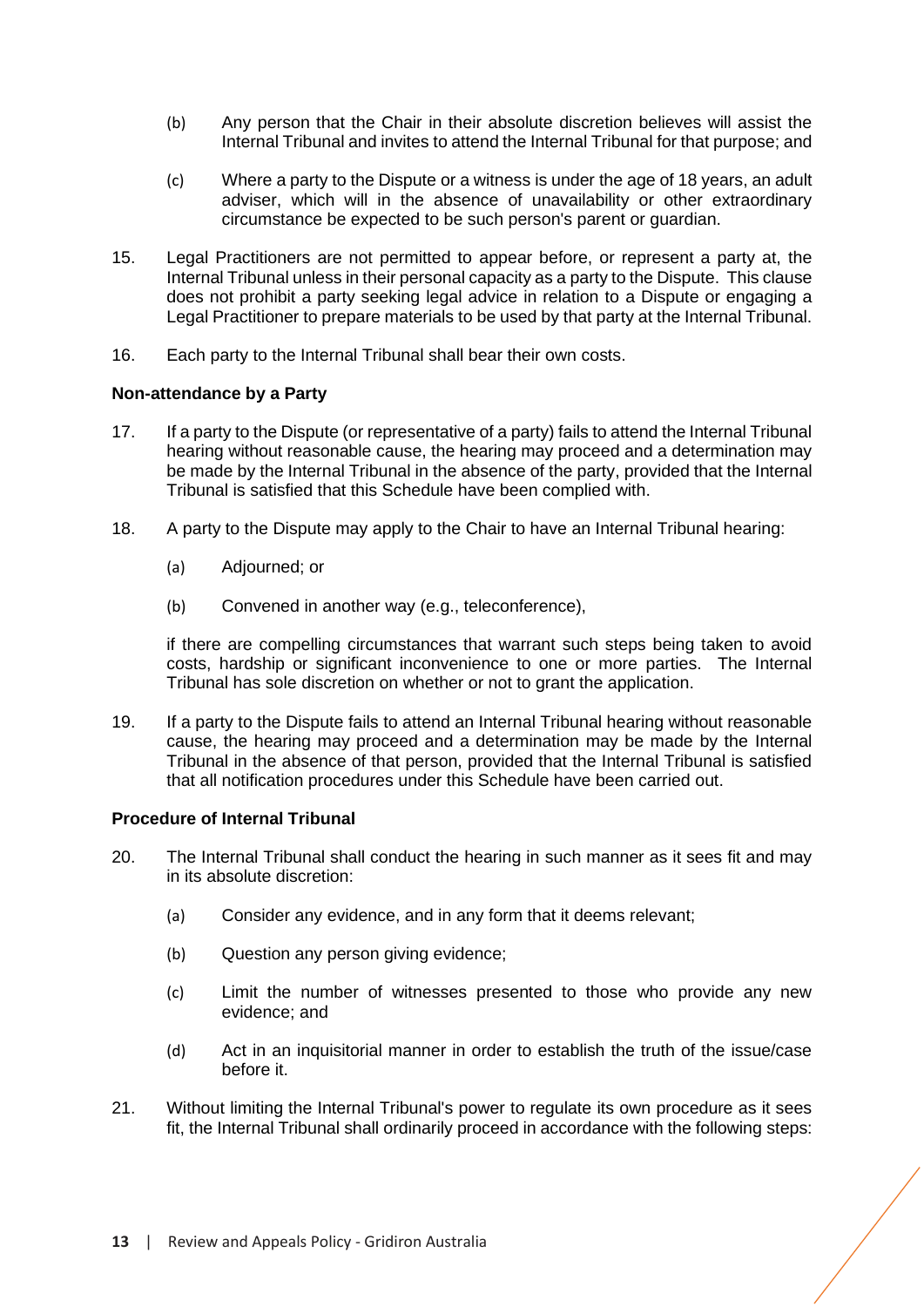- (b) Any person that the Chair in their absolute discretion believes will assist the Internal Tribunal and invites to attend the Internal Tribunal for that purpose; and
- (c) Where a party to the Dispute or a witness is under the age of 18 years, an adult adviser, which will in the absence of unavailability or other extraordinary circumstance be expected to be such person's parent or guardian.
- 15. Legal Practitioners are not permitted to appear before, or represent a party at, the Internal Tribunal unless in their personal capacity as a party to the Dispute. This clause does not prohibit a party seeking legal advice in relation to a Dispute or engaging a Legal Practitioner to prepare materials to be used by that party at the Internal Tribunal.
- 16. Each party to the Internal Tribunal shall bear their own costs.

# **Non-attendance by a Party**

- 17. If a party to the Dispute (or representative of a party) fails to attend the Internal Tribunal hearing without reasonable cause, the hearing may proceed and a determination may be made by the Internal Tribunal in the absence of the party, provided that the Internal Tribunal is satisfied that this Schedule have been complied with.
- 18. A party to the Dispute may apply to the Chair to have an Internal Tribunal hearing:
	- (a) Adjourned; or
	- (b) Convened in another way (e.g., teleconference),

if there are compelling circumstances that warrant such steps being taken to avoid costs, hardship or significant inconvenience to one or more parties. The Internal Tribunal has sole discretion on whether or not to grant the application.

19. If a party to the Dispute fails to attend an Internal Tribunal hearing without reasonable cause, the hearing may proceed and a determination may be made by the Internal Tribunal in the absence of that person, provided that the Internal Tribunal is satisfied that all notification procedures under this Schedule have been carried out.

#### **Procedure of Internal Tribunal**

- 20. The Internal Tribunal shall conduct the hearing in such manner as it sees fit and may in its absolute discretion:
	- (a) Consider any evidence, and in any form that it deems relevant;
	- (b) Question any person giving evidence;
	- (c) Limit the number of witnesses presented to those who provide any new evidence; and
	- (d) Act in an inquisitorial manner in order to establish the truth of the issue/case before it.
- 21. Without limiting the Internal Tribunal's power to regulate its own procedure as it sees fit, the Internal Tribunal shall ordinarily proceed in accordance with the following steps: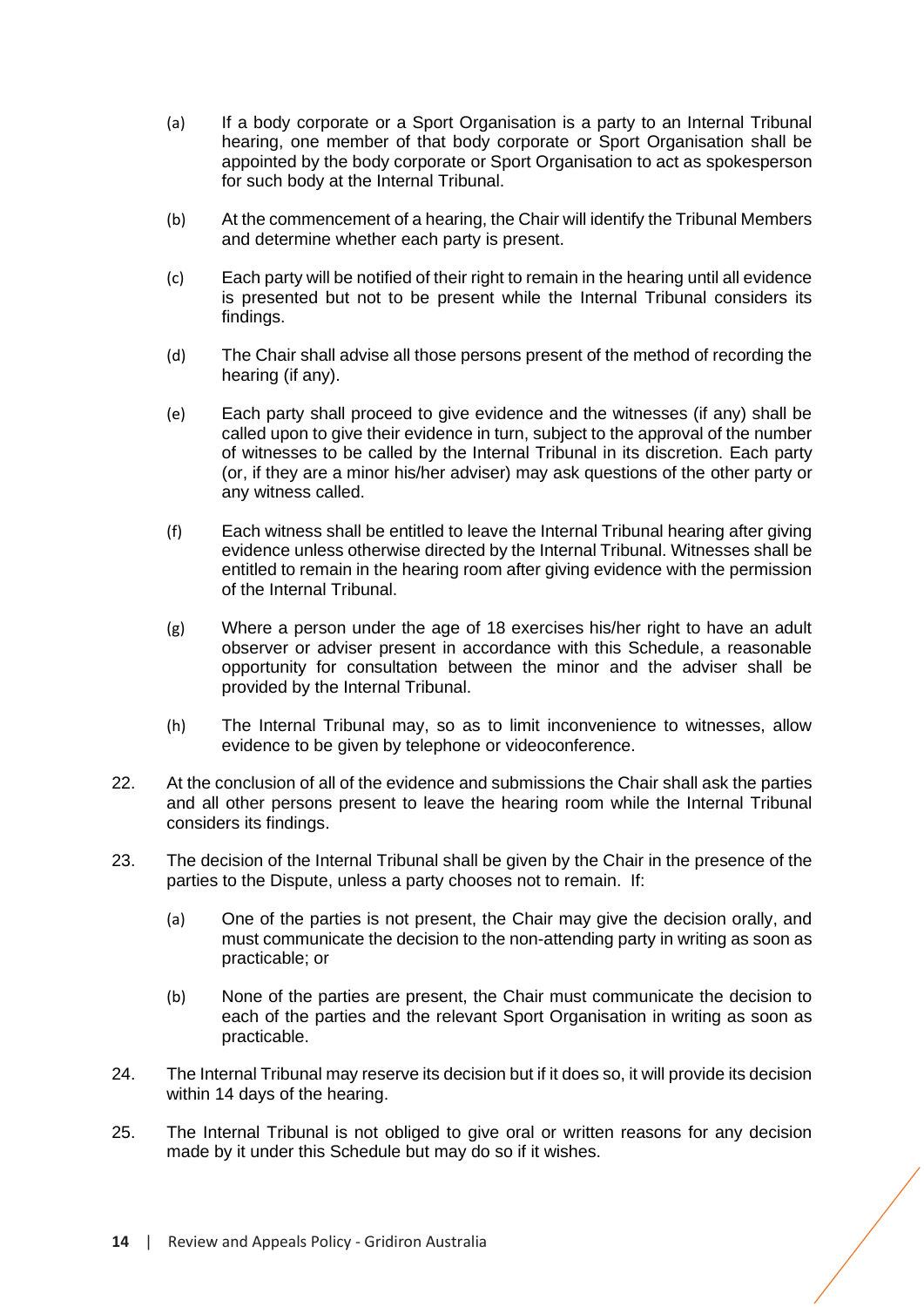- (a) If a body corporate or a Sport Organisation is a party to an Internal Tribunal hearing, one member of that body corporate or Sport Organisation shall be appointed by the body corporate or Sport Organisation to act as spokesperson for such body at the Internal Tribunal.
- (b) At the commencement of a hearing, the Chair will identify the Tribunal Members and determine whether each party is present.
- (c) Each party will be notified of their right to remain in the hearing until all evidence is presented but not to be present while the Internal Tribunal considers its findings.
- (d) The Chair shall advise all those persons present of the method of recording the hearing (if any).
- (e) Each party shall proceed to give evidence and the witnesses (if any) shall be called upon to give their evidence in turn, subject to the approval of the number of witnesses to be called by the Internal Tribunal in its discretion. Each party (or, if they are a minor his/her adviser) may ask questions of the other party or any witness called.
- (f) Each witness shall be entitled to leave the Internal Tribunal hearing after giving evidence unless otherwise directed by the Internal Tribunal. Witnesses shall be entitled to remain in the hearing room after giving evidence with the permission of the Internal Tribunal.
- (g) Where a person under the age of 18 exercises his/her right to have an adult observer or adviser present in accordance with this Schedule, a reasonable opportunity for consultation between the minor and the adviser shall be provided by the Internal Tribunal.
- (h) The Internal Tribunal may, so as to limit inconvenience to witnesses, allow evidence to be given by telephone or videoconference.
- 22. At the conclusion of all of the evidence and submissions the Chair shall ask the parties and all other persons present to leave the hearing room while the Internal Tribunal considers its findings.
- 23. The decision of the Internal Tribunal shall be given by the Chair in the presence of the parties to the Dispute, unless a party chooses not to remain. If:
	- (a) One of the parties is not present, the Chair may give the decision orally, and must communicate the decision to the non-attending party in writing as soon as practicable; or
	- (b) None of the parties are present, the Chair must communicate the decision to each of the parties and the relevant Sport Organisation in writing as soon as practicable.
- 24. The Internal Tribunal may reserve its decision but if it does so, it will provide its decision within 14 days of the hearing.
- 25. The Internal Tribunal is not obliged to give oral or written reasons for any decision made by it under this Schedule but may do so if it wishes.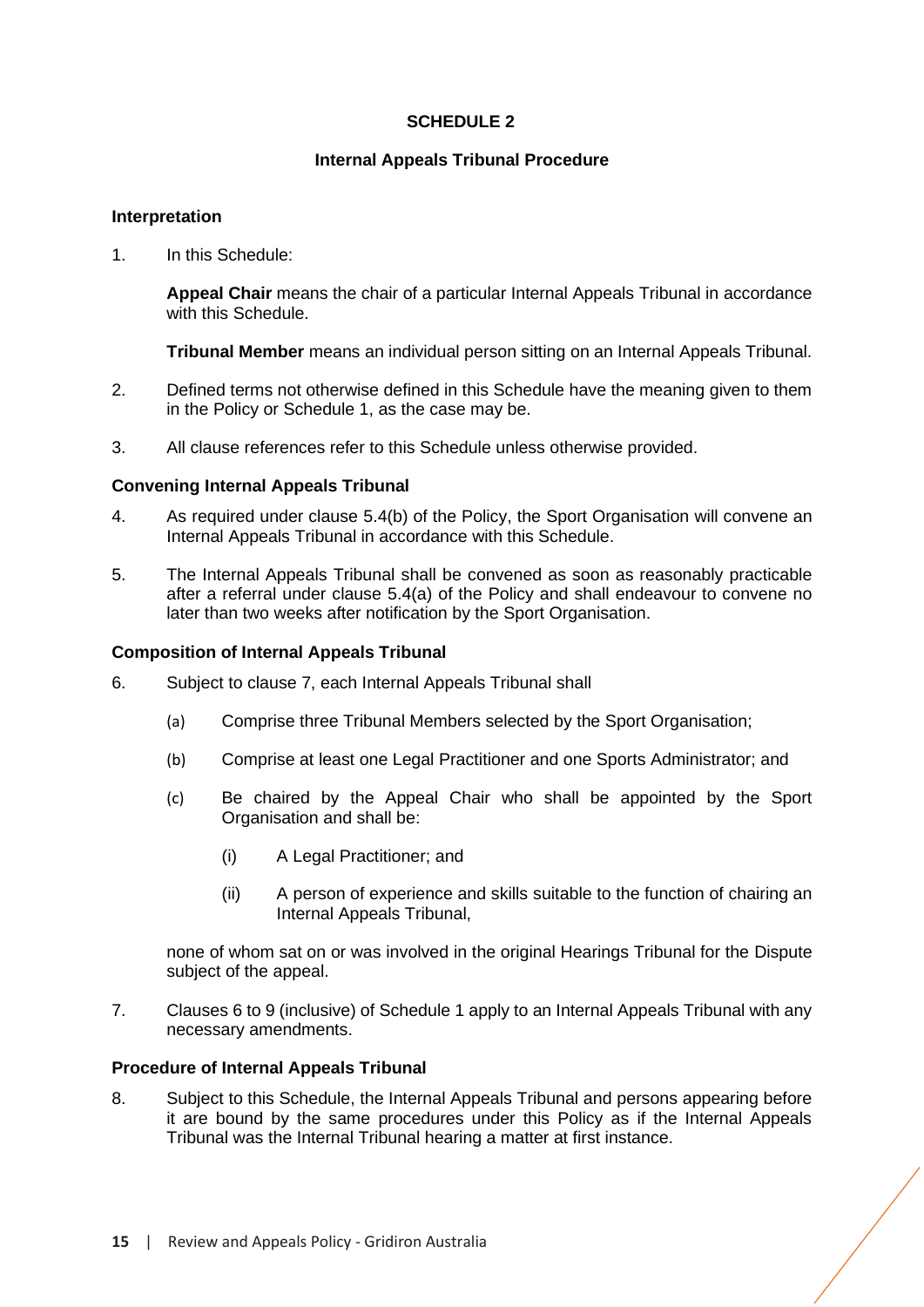# **SCHEDULE 2**

# **Internal Appeals Tribunal Procedure**

# <span id="page-16-0"></span>**Interpretation**

1. In this Schedule:

**Appeal Chair** means the chair of a particular Internal Appeals Tribunal in accordance with this Schedule.

**Tribunal Member** means an individual person sitting on an Internal Appeals Tribunal.

- 2. Defined terms not otherwise defined in this Schedule have the meaning given to them in the Policy or Schedule 1, as the case may be.
- 3. All clause references refer to this Schedule unless otherwise provided.

# **Convening Internal Appeals Tribunal**

- 4. As required under clause [5.4\(](#page-9-0)b) of the Policy, the Sport Organisation will convene an Internal Appeals Tribunal in accordance with this Schedule.
- 5. The Internal Appeals Tribunal shall be convened as soon as reasonably practicable after a referral under clause [5.4\(](#page-9-0)a) of the Policy and shall endeavour to convene no later than two weeks after notification by the Sport Organisation.

# **Composition of Internal Appeals Tribunal**

- 6. Subject to clause 7, each Internal Appeals Tribunal shall
	- (a) Comprise three Tribunal Members selected by the Sport Organisation;
	- (b) Comprise at least one Legal Practitioner and one Sports Administrator; and
	- (c) Be chaired by the Appeal Chair who shall be appointed by the Sport Organisation and shall be:
		- (i) A Legal Practitioner; and
		- (ii) A person of experience and skills suitable to the function of chairing an Internal Appeals Tribunal,

none of whom sat on or was involved in the original Hearings Tribunal for the Dispute subject of the appeal.

7. Clauses 6 to 9 (inclusive) of Schedule 1 apply to an Internal Appeals Tribunal with any necessary amendments.

#### **Procedure of Internal Appeals Tribunal**

8. Subject to this Schedule, the Internal Appeals Tribunal and persons appearing before it are bound by the same procedures under this Policy as if the Internal Appeals Tribunal was the Internal Tribunal hearing a matter at first instance.